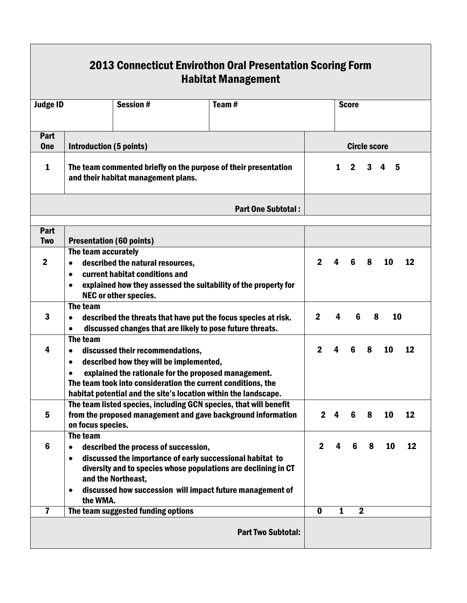| <b>Judge ID</b>         |                                                                                                                                                                                                                                                                                                              | <b>Session#</b>                                                                                                         |  | Team $#$                                                                                                                    |             |                         | <b>Score</b> |                  |    |    |  |
|-------------------------|--------------------------------------------------------------------------------------------------------------------------------------------------------------------------------------------------------------------------------------------------------------------------------------------------------------|-------------------------------------------------------------------------------------------------------------------------|--|-----------------------------------------------------------------------------------------------------------------------------|-------------|-------------------------|--------------|------------------|----|----|--|
|                         |                                                                                                                                                                                                                                                                                                              |                                                                                                                         |  |                                                                                                                             |             |                         |              |                  |    |    |  |
| Part<br><b>One</b>      | <b>Introduction (5 points)</b>                                                                                                                                                                                                                                                                               |                                                                                                                         |  | <b>Circle score</b>                                                                                                         |             |                         |              |                  |    |    |  |
| $\mathbf{1}$            | The team commented briefly on the purpose of their presentation<br>and their habitat management plans.                                                                                                                                                                                                       |                                                                                                                         |  |                                                                                                                             |             | $1 \t2 \t3 \t4 \t5$     |              |                  |    |    |  |
|                         |                                                                                                                                                                                                                                                                                                              |                                                                                                                         |  | <b>Part One Subtotal:</b>                                                                                                   |             |                         |              |                  |    |    |  |
| Part                    |                                                                                                                                                                                                                                                                                                              |                                                                                                                         |  |                                                                                                                             |             |                         |              |                  |    |    |  |
| <b>Two</b>              | <b>Presentation (60 points)</b>                                                                                                                                                                                                                                                                              |                                                                                                                         |  |                                                                                                                             |             |                         |              |                  |    |    |  |
| $\boldsymbol{2}$        | The team accurately<br>described the natural resources,<br>$\bullet$<br>current habitat conditions and<br>$\bullet$<br>explained how they assessed the suitability of the property for                                                                                                                       |                                                                                                                         |  |                                                                                                                             |             | $\overline{\mathbf{4}}$ | 6            | 8                | 10 | 12 |  |
|                         | NEC or other species.                                                                                                                                                                                                                                                                                        |                                                                                                                         |  |                                                                                                                             |             |                         |              |                  |    |    |  |
| $\mathbf{3}$            | The team<br>described the threats that have put the focus species at risk.<br>discussed changes that are likely to pose future threats.<br>$\bullet$                                                                                                                                                         |                                                                                                                         |  |                                                                                                                             |             | 4                       | 6            | 8                | 10 |    |  |
| 4                       | The team<br>discussed their recommendations,<br>$\bullet$<br>described how they will be implemented,<br>$\bullet$<br>explained the rationale for the proposed management.<br>The team took into consideration the current conditions, the<br>habitat potential and the site's location within the landscape. |                                                                                                                         |  |                                                                                                                             |             | $\overline{\mathbf{4}}$ | 6            | 8                | 10 | 12 |  |
| 5                       | The team listed species, including GCN species, that will benefit<br>from the proposed management and gave background information<br>on focus species.                                                                                                                                                       |                                                                                                                         |  |                                                                                                                             |             | 4                       | 6            | 8                | 10 | 12 |  |
| $6\phantom{1}6$         | The team<br>$\bullet$                                                                                                                                                                                                                                                                                        | described the process of succession,<br>discussed the importance of early successional habitat to<br>and the Northeast, |  | diversity and to species whose populations are declining in CT<br>discussed how succession will impact future management of | $\mathbf 2$ | 4                       | 6            | 8                | 10 | 12 |  |
| $\overline{\mathbf{r}}$ | the WMA.                                                                                                                                                                                                                                                                                                     | The team suggested funding options                                                                                      |  |                                                                                                                             | $\bf{0}$    | 1                       |              | $\boldsymbol{2}$ |    |    |  |